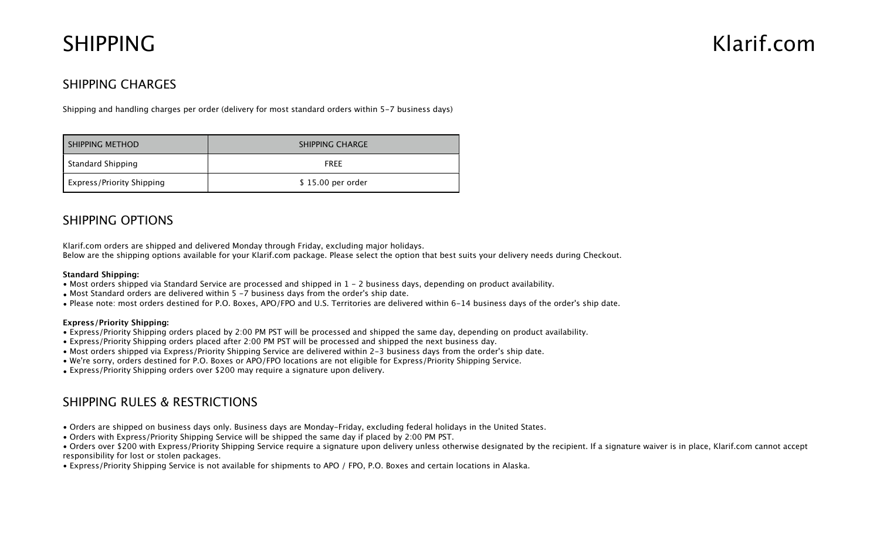# SHIPPING Klarif.com

## SHIPPING CHARGES

Shipping and handling charges per order (delivery for most standard orders within 5-7 business days)

| SHIPPING METHOD                  | SHIPPING CHARGE   |
|----------------------------------|-------------------|
| Standard Shipping                | <b>FRFF</b>       |
| <b>Express/Priority Shipping</b> | \$15.00 per order |

## SHIPPING OPTIONS

Klarif.com orders are shipped and delivered Monday through Friday, excluding major holidays.

Below are the shipping options available for your Klarif.com package. Please select the option that best suits your delivery needs during Checkout.

#### **Standard Shipping:**

- Most orders shipped via Standard Service are processed and shipped in 1 2 business days, depending on product availability.
- Most Standard orders are delivered within 5 -7 business days from the order's ship date.
- Please note: most orders destined for P.O. Boxes, APO/FPO and U.S. Territories are delivered within 6-14 business days of the order's ship date.

#### **Express/Priority Shipping:**

- Express/Priority Shipping orders placed by 2:00 PM PST will be processed and shipped the same day, depending on product availability.
- Express/Priority Shipping orders placed after 2:00 PM PST will be processed and shipped the next business day.
- Most orders shipped via Express/Priority Shipping Service are delivered within 2-3 business days from the order's ship date.
- We're sorry, orders destined for P.O. Boxes or APO/FPO locations are not eligible for Express/Priority Shipping Service.
- Express/Priority Shipping orders over \$200 may require a signature upon delivery.

### SHIPPING RULES & RESTRICTIONS

- Orders are shipped on business days only. Business days are Monday-Friday, excluding federal holidays in the United States.
- Orders with Express/Priority Shipping Service will be shipped the same day if placed by 2:00 PM PST.
- Orders over \$200 with Express/Priority Shipping Service require a signature upon delivery unless otherwise designated by the recipient. If a signature waiver is in place, Klarif.com cannot accept responsibility for lost or stolen packages.
- Express/Priority Shipping Service is not available for shipments to APO / FPO, P.O. Boxes and certain locations in Alaska.